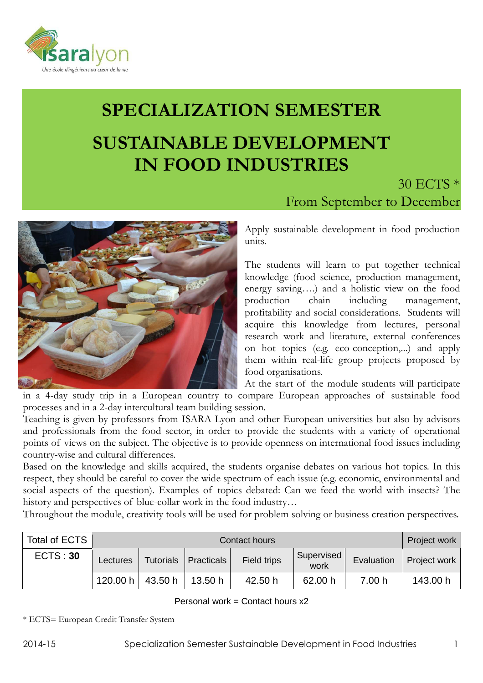

# **SPECIALIZATION SEMESTER SUSTAINABLE DEVELOPMENT IN FOOD INDUSTRIES**



30 ECTS \* From September to December

Apply sustainable development in food production units.

The students will learn to put together technical knowledge (food science, production management, energy saving….) and a holistic view on the food production chain including management, profitability and social considerations. Students will acquire this knowledge from lectures, personal research work and literature, external conferences on hot topics (e.g. eco-conception,...) and apply them within real-life group projects proposed by food organisations.

At the start of the module students will participate in a 4-day study trip in a European country to compare European approaches of sustainable food processes and in a 2-day intercultural team building session.

Teaching is given by professors from ISARA-Lyon and other European universities but also by advisors and professionals from the food sector, in order to provide the students with a variety of operational points of views on the subject. The objective is to provide openness on international food issues including country-wise and cultural differences.

Based on the knowledge and skills acquired, the students organise debates on various hot topics. In this respect, they should be careful to cover the wide spectrum of each issue (e.g. economic, environmental and social aspects of the question). Examples of topics debated: Can we feed the world with insects? The history and perspectives of blue-collar work in the food industry…

Throughout the module, creativity tools will be used for problem solving or business creation perspectives.

| Total of ECTS |          | Project work     |            |             |                    |            |              |
|---------------|----------|------------------|------------|-------------|--------------------|------------|--------------|
| ECTS: 30      | Lectures | <b>Tutorials</b> | Practicals | Field trips | Supervised<br>work | Evaluation | Project work |
|               | 120.00 h | 43.50 h          | 13.50 h    | 42.50 h     | 62.00 h            | 7.00h      | 143.00 h     |

## Personal work = Contact hours x2

\* ECTS= European Credit Transfer System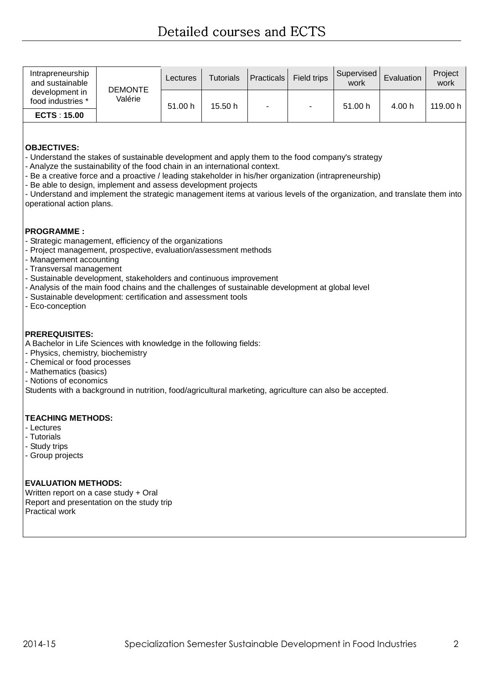| Intrapreneurship<br>and sustainable<br>development in<br>food industries * | <b>DEMONTE</b><br>Valérie | Lectures | Tutorials | Practicals | Field trips | Supervised<br>work | Evaluation | Project<br>work |
|----------------------------------------------------------------------------|---------------------------|----------|-----------|------------|-------------|--------------------|------------|-----------------|
|                                                                            |                           | 51.00 h  | 15.50h    |            | ٠           | 51.00 h            | 4.00 h     | 119.00 h        |
| <b>ECTS: 15.00</b>                                                         |                           |          |           |            |             |                    |            |                 |

## **OBJECTIVES:**

- Understand the stakes of sustainable development and apply them to the food company's strategy

- Analyze the sustainability of the food chain in an international context.
- Be a creative force and a proactive / leading stakeholder in his/her organization (intrapreneurship)
- Be able to design, implement and assess development projects

- Understand and implement the strategic management items at various levels of the organization, and translate them into operational action plans.

#### **PROGRAMME :**

- Strategic management, efficiency of the organizations
- Project management, prospective, evaluation/assessment methods
- Management accounting
- Transversal management
- Sustainable development, stakeholders and continuous improvement
- Analysis of the main food chains and the challenges of sustainable development at global level
- Sustainable development: certification and assessment tools
- Eco-conception

#### **PREREQUISITES:**

A Bachelor in Life Sciences with knowledge in the following fields:

- Physics, chemistry, biochemistry
- Chemical or food processes
- Mathematics (basics)
- Notions of economics

Students with a background in nutrition, food/agricultural marketing, agriculture can also be accepted.

#### **TEACHING METHODS:**

- Lectures
- Tutorials
- Study trips
- Group projects

## **EVALUATION METHODS:**

Written report on a case study + Oral Report and presentation on the study trip Practical work